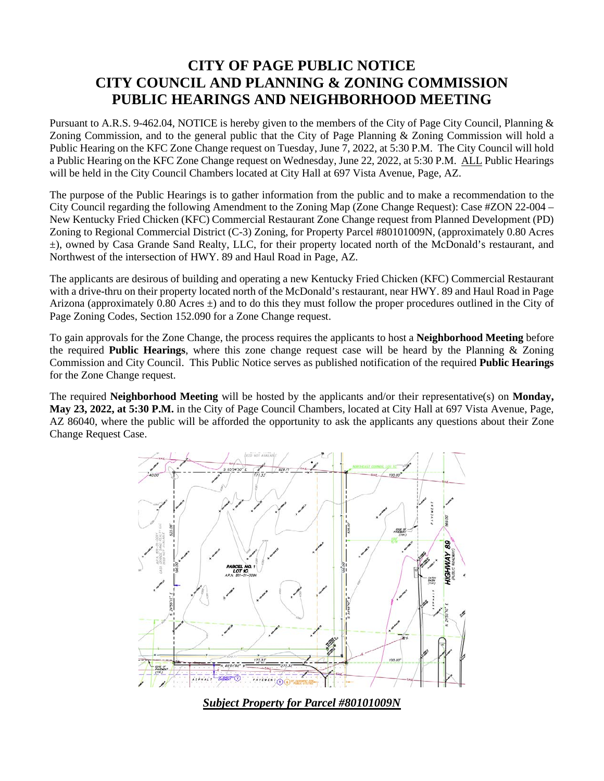## **CITY OF PAGE PUBLIC NOTICE CITY COUNCIL AND PLANNING & ZONING COMMISSION PUBLIC HEARINGS AND NEIGHBORHOOD MEETING**

Pursuant to A.R.S. 9-462.04, NOTICE is hereby given to the members of the City of Page City Council, Planning & Zoning Commission, and to the general public that the City of Page Planning & Zoning Commission will hold a Public Hearing on the KFC Zone Change request on Tuesday, June 7, 2022, at 5:30 P.M. The City Council will hold a Public Hearing on the KFC Zone Change request on Wednesday, June 22, 2022, at 5:30 P.M. ALL Public Hearings will be held in the City Council Chambers located at City Hall at 697 Vista Avenue, Page, AZ.

The purpose of the Public Hearings is to gather information from the public and to make a recommendation to the City Council regarding the following Amendment to the Zoning Map (Zone Change Request): Case #ZON 22-004 – New Kentucky Fried Chicken (KFC) Commercial Restaurant Zone Change request from Planned Development (PD) Zoning to Regional Commercial District (C-3) Zoning, for Property Parcel #80101009N, (approximately 0.80 Acres ±), owned by Casa Grande Sand Realty, LLC, for their property located north of the McDonald's restaurant, and Northwest of the intersection of HWY. 89 and Haul Road in Page, AZ.

The applicants are desirous of building and operating a new Kentucky Fried Chicken (KFC) Commercial Restaurant with a drive-thru on their property located north of the McDonald's restaurant, near HWY. 89 and Haul Road in Page Arizona (approximately 0.80 Acres  $\pm$ ) and to do this they must follow the proper procedures outlined in the City of Page Zoning Codes, Section 152.090 for a Zone Change request.

To gain approvals for the Zone Change, the process requires the applicants to host a **Neighborhood Meeting** before the required **Public Hearings**, where this zone change request case will be heard by the Planning & Zoning Commission and City Council. This Public Notice serves as published notification of the required **Public Hearings** for the Zone Change request.

The required **Neighborhood Meeting** will be hosted by the applicants and/or their representative(s) on **Monday, May 23, 2022, at 5:30 P.M.** in the City of Page Council Chambers, located at City Hall at 697 Vista Avenue, Page, AZ 86040, where the public will be afforded the opportunity to ask the applicants any questions about their Zone Change Request Case.



*Subject Property for Parcel #80101009N*